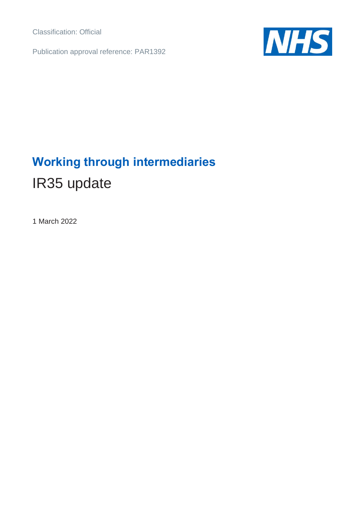Classification: Official

Publication approval reference: PAR1392



# **Working through intermediaries** IR35 update

1 March 2022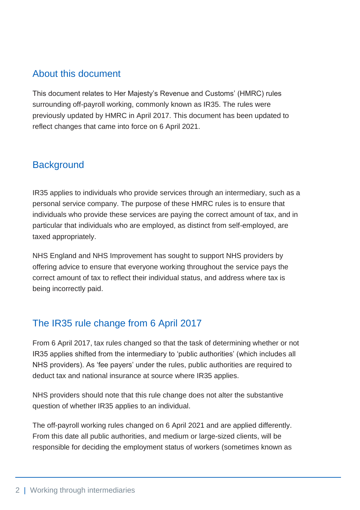#### About this document

This document relates to Her Majesty's Revenue and Customs' (HMRC) rules surrounding off-payroll working, commonly known as IR35. The rules were previously updated by HMRC in April 2017. This document has been updated to reflect changes that came into force on 6 April 2021.

### **Background**

IR35 applies to individuals who provide services through an intermediary, such as a personal service company. The purpose of these HMRC rules is to ensure that individuals who provide these services are paying the correct amount of tax, and in particular that individuals who are employed, as distinct from self-employed, are taxed appropriately.

NHS England and NHS Improvement has sought to support NHS providers by offering advice to ensure that everyone working throughout the service pays the correct amount of tax to reflect their individual status, and address where tax is being incorrectly paid.

## The IR35 rule change from 6 April 2017

From 6 April 2017, tax rules changed so that the task of determining whether or not IR35 applies shifted from the intermediary to 'public authorities' (which includes all NHS providers). As 'fee payers' under the rules, public authorities are required to deduct tax and national insurance at source where IR35 applies.

NHS providers should note that this rule change does not alter the substantive question of whether IR35 applies to an individual.

The off-payroll working rules changed on 6 April 2021 and are applied differently. From this date all public authorities, and medium or large-sized clients, will be responsible for deciding the employment status of workers (sometimes known as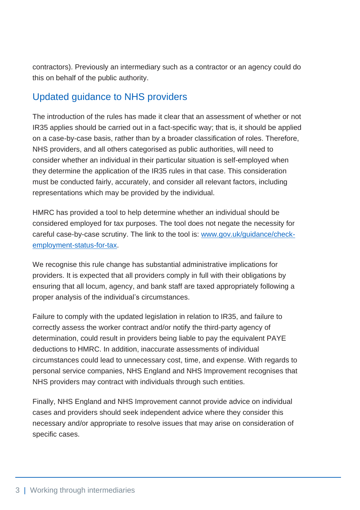contractors). Previously an intermediary such as a contractor or an agency could do this on behalf of the public authority.

#### Updated guidance to NHS providers

The introduction of the rules has made it clear that an assessment of whether or not IR35 applies should be carried out in a fact-specific way; that is, it should be applied on a case-by-case basis, rather than by a broader classification of roles. Therefore, NHS providers, and all others categorised as public authorities, will need to consider whether an individual in their particular situation is self-employed when they determine the application of the IR35 rules in that case. This consideration must be conducted fairly, accurately, and consider all relevant factors, including representations which may be provided by the individual.

HMRC has provided a tool to help determine whether an individual should be considered employed for tax purposes. The tool does not negate the necessity for careful case-by-case scrutiny. The link to the tool is: [www.gov.uk/guidance/check](http://www.gov.uk/guidance/check-employment-status-for-tax)[employment-status-for-tax.](http://www.gov.uk/guidance/check-employment-status-for-tax)

We recognise this rule change has substantial administrative implications for providers. It is expected that all providers comply in full with their obligations by ensuring that all locum, agency, and bank staff are taxed appropriately following a proper analysis of the individual's circumstances.

Failure to comply with the updated legislation in relation to IR35, and failure to correctly assess the worker contract and/or notify the third-party agency of determination, could result in providers being liable to pay the equivalent PAYE deductions to HMRC. In addition, inaccurate assessments of individual circumstances could lead to unnecessary cost, time, and expense. With regards to personal service companies, NHS England and NHS Improvement recognises that NHS providers may contract with individuals through such entities.

Finally, NHS England and NHS Improvement cannot provide advice on individual cases and providers should seek independent advice where they consider this necessary and/or appropriate to resolve issues that may arise on consideration of specific cases.